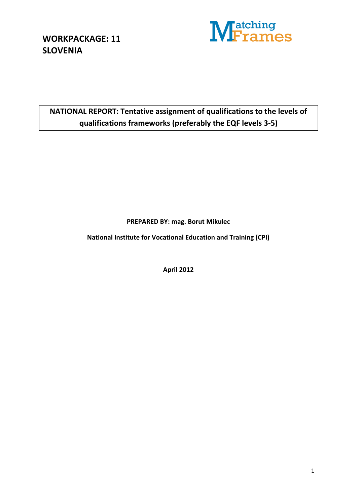

## **NATIONAL REPORT: Tentative assignment of qualifications to the levels of qualifications frameworks (preferably the EQF levels 3-5)**

**PREPARED BY: mag. Borut Mikulec**

**National Institute for Vocational Education and Training (CPI)**

**April 2012**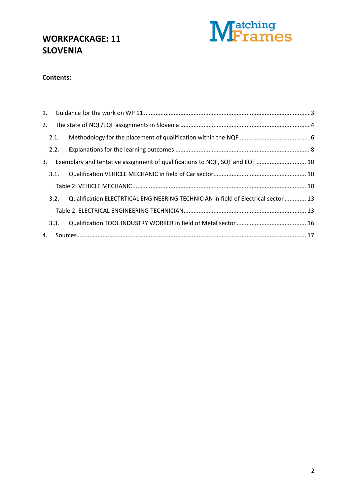

#### **Contents:**

| 1. |      |                                                                                    |  |
|----|------|------------------------------------------------------------------------------------|--|
| 2. |      |                                                                                    |  |
|    | 2.1. |                                                                                    |  |
|    | 2.2. |                                                                                    |  |
| 3. |      | Exemplary and tentative assignment of qualifications to NQF, SQF and EQF  10       |  |
|    | 3.1. |                                                                                    |  |
|    |      |                                                                                    |  |
|    | 3.2. | Qualification ELECTRTICAL ENGINEERING TECHNICIAN in field of Electrical sector  13 |  |
|    |      |                                                                                    |  |
|    | 3.3. |                                                                                    |  |
| 4. |      |                                                                                    |  |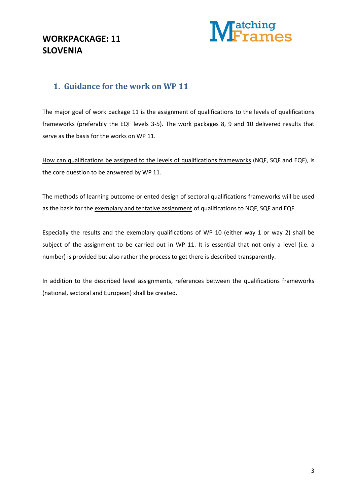

#### <span id="page-2-0"></span>**1. Guidance for the work on WP 11**

The major goal of work package 11 is the assignment of qualifications to the levels of qualifications frameworks (preferably the EQF levels 3-5). The work packages 8, 9 and 10 delivered results that serve as the basis for the works on WP 11.

How can qualifications be assigned to the levels of qualifications frameworks (NQF, SQF and EQF), is the core question to be answered by WP 11.

The methods of learning outcome-oriented design of sectoral qualifications frameworks will be used as the basis for the exemplary and tentative assignment of qualifications to NQF, SQF and EQF.

Especially the results and the exemplary qualifications of WP 10 (either way 1 or way 2) shall be subject of the assignment to be carried out in WP 11. It is essential that not only a level (i.e. a number) is provided but also rather the process to get there is described transparently.

In addition to the described level assignments, references between the qualifications frameworks (national, sectoral and European) shall be created.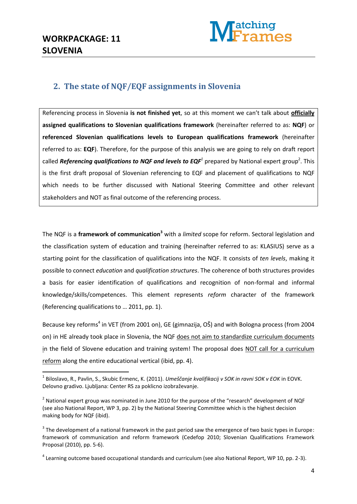$\overline{a}$ 



### <span id="page-3-0"></span>**2. The state of NQF/EQF assignments in Slovenia**

Referencing process in Slovenia **is not finished yet**, so at this moment we can't talk about **officially assigned qualifications to Slovenian qualifications framework** (hereinafter referred to as: **NQF**) or **referenced Slovenian qualifications levels to European qualifications framework** (hereinafter referred to as: **EQF**). Therefore, for the purpose of this analysis we are going to rely on draft report called *Referencing qualifications to NQF and levels to EQF<sup>1</sup> prepared by National expert group<sup>2</sup>. This* is the first draft proposal of Slovenian referencing to EQF and placement of qualifications to NQF which needs to be further discussed with National Steering Committee and other relevant stakeholders and NOT as final outcome of the referencing process.

The NQF is a **framework of communication<sup>3</sup>** with a *limited* scope for reform. Sectoral legislation and the classification system of education and training (hereinafter referred to as: KLASIUS) serve as a starting point for the classification of qualifications into the NQF. It consists of *ten levels*, making it possible to connect *education* and *qualification structures*. The coherence of both structures provides a basis for easier identification of qualifications and recognition of non-formal and informal knowledge/skills/competences. This element represents *reform* character of the framework (Referencing qualifications to … 2011, pp. 1).

Because key reforms<sup>4</sup> in VET (from 2001 on), GE (gimnazija, OŠ) and with Bologna process (from 2004 on) in HE already took place in Slovenia, the NQF does not aim to standardize curriculum documents in the field of Slovene education and training system! The proposal does NOT call for a curriculum reform along the entire educational vertical (ibid, pp. 4).

<sup>1</sup> Biloslavo, R., Pavlin, S., Skubic Ermenc, K. (2011). *Umeščanje kvalifikacij v SOK in ravni SOK v EOK* in EOVK. Delovno gradivo. Ljubljana: Center RS za poklicno izobraževanje.

 $^{2}$  National expert group was nominated in June 2010 for the purpose of the "research" development of NQF (see also National Report, WP 3, pp. 2) by the National Steering Committee which is the highest decision making body for NQF (ibid).

 $3$  The development of a national framework in the past period saw the emergence of two basic types in Europe: framework of communication and reform framework (Cedefop 2010; Slovenian Qualifications Framework Proposal (2010), pp. 5-6).

 $^4$  Learning outcome based occupational standards and curriculum (see also National Report, WP 10, pp. 2-3).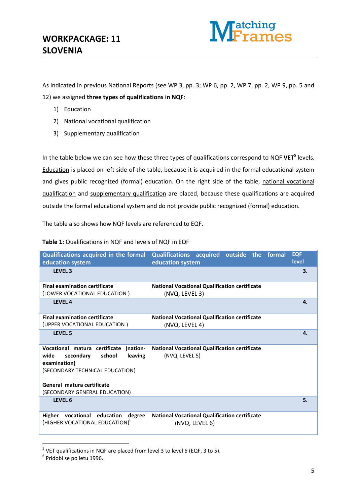

As indicated in previous National Reports (see WP 3, pp. 3; WP 6, pp. 2, WP 7, pp. 2, WP 9, pp. 5 and 12) we assigned **three types of qualifications in NQF**:

- 1) Education
- 2) National vocational qualification
- 3) Supplementary qualification

In the table below we can see how these three types of qualifications correspond to NQF **VET<sup>5</sup>** levels. Education is placed on left side of the table, because it is acquired in the formal educational system and gives public recognized (formal) education. On the right side of the table, national vocational qualification and supplementary qualification are placed, because these qualifications are acquired outside the formal educational system and do not provide public recognized (formal) education.

The table also shows how NQF levels are referenced to EQF.

| <b>Qualifications acquired in the formal</b><br>education system                                                                       | Qualifications acquired outside the formal<br>education system         | <b>EQF</b><br>level |
|----------------------------------------------------------------------------------------------------------------------------------------|------------------------------------------------------------------------|---------------------|
| <b>LEVEL 3</b>                                                                                                                         |                                                                        | 3.                  |
| <b>Final examination certificate</b><br>(LOWER VOCATIONAL EDUCATION)                                                                   | <b>National Vocational Qualification certificate</b><br>(NVQ, LEVEL 3) |                     |
| <b>LEVEL 4</b>                                                                                                                         |                                                                        | 4.                  |
| <b>Final examination certificate</b><br>(UPPER VOCATIONAL EDUCATION)                                                                   | <b>National Vocational Qualification certificate</b><br>(NVQ, LEVEL 4) |                     |
| <b>LEVEL 5</b>                                                                                                                         |                                                                        | 4.                  |
| Vocational matura certificate<br>Ination-<br>leaving<br>wide<br>secondary<br>school<br>examination)<br>(SECONDARY TECHNICAL EDUCATION) | <b>National Vocational Qualification certificate</b><br>(NVQ, LEVEL 5) |                     |
| General matura certificate<br>(SECONDARY GENERAL EDUCATION)                                                                            |                                                                        |                     |
| <b>LEVEL 6</b>                                                                                                                         |                                                                        | 5.                  |
| vocational education<br>degree<br><b>Higher</b><br>(HIGHER VOCATIONAL EDUCATION) <sup>6</sup>                                          | <b>National Vocational Qualification certificate</b><br>(NVQ, LEVEL 6) |                     |

#### **Table 1:** Qualifications in NQF and levels of NQF in EQF

1

 $<sup>5</sup>$  VET qualifications in NQF are placed from level 3 to level 6 (EQF, 3 to 5).</sup>

<sup>&</sup>lt;sup>6</sup> Pridobi se po letu 1996.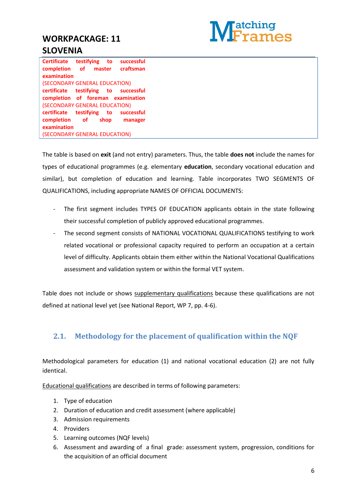

#### **SLOVENIA**

**Certificate testifying to successful completion of master craftsman examination** (SECONDARY GENERAL EDUCATION) **certificate testifying to successful completion of foreman examination** (SECONDARY GENERAL EDUCATION) **certificate testifying to successful completion of shop manager examination** (SECONDARY GENERAL EDUCATION)

The table is based on **exit** (and not entry) parameters. Thus, the table **does not** include the names for types of educational programmes (e.g. elementary **education**, secondary vocational education and similar), but completion of education and learning. Table incorporates TWO SEGMENTS OF QUALIFICATIONS, including appropriate NAMES OF OFFICIAL DOCUMENTS:

- The first segment includes TYPES OF EDUCATION applicants obtain in the state following their successful completion of publicly approved educational programmes.
- The second segment consists of NATIONAL VOCATIONAL QUALIFICATIONS testifying to work related vocational or professional capacity required to perform an occupation at a certain level of difficulty. Applicants obtain them either within the National Vocational Qualifications assessment and validation system or within the formal VET system.

Table does not include or shows supplementary qualifications because these qualifications are not defined at national level yet (see National Report, WP 7, pp. 4-6).

#### <span id="page-5-0"></span>**2.1. Methodology for the placement of qualification within the NQF**

Methodological parameters for education (1) and national vocational education (2) are not fully identical.

Educational qualifications are described in terms of following parameters:

- 1. Type of education
- 2. Duration of education and credit assessment (where applicable)
- 3. Admission requirements
- 4. Providers
- 5. Learning outcomes (NQF levels)
- 6. Assessment and awarding of a final grade: assessment system, progression, conditions for the acquisition of an official document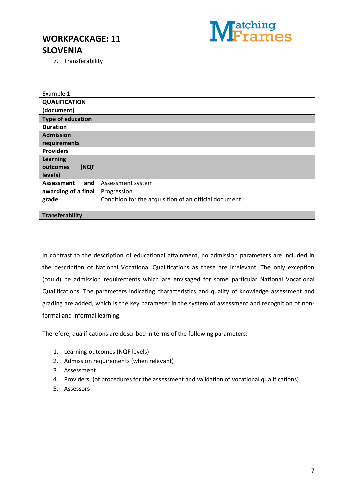

7. Transferability

| Example 1:                       |                                                       |  |
|----------------------------------|-------------------------------------------------------|--|
| <b>QUALIFICATION</b>             |                                                       |  |
| (document)                       |                                                       |  |
| <b>Type of education</b>         |                                                       |  |
| <b>Duration</b>                  |                                                       |  |
| <b>Admission</b><br>requirements |                                                       |  |
| <b>Providers</b>                 |                                                       |  |
| <b>Learning</b>                  |                                                       |  |
| (NQF<br>outcomes                 |                                                       |  |
| levels)                          |                                                       |  |
| <b>Assessment</b><br>and         | Assessment system                                     |  |
| awarding of a final              | Progression                                           |  |
| grade                            | Condition for the acquisition of an official document |  |
|                                  |                                                       |  |
| <b>Transferability</b>           |                                                       |  |

In contrast to the description of educational attainment, no admission parameters are included in the description of National Vocational Qualifications as these are irrelevant. The only exception (could) be admission requirements which are envisaged for some particular National Vocational Qualifications. The parameters indicating characteristics and quality of knowledge assessment and grading are added, which is the key parameter in the system of assessment and recognition of nonformal and informal learning.

Therefore, qualifications are described in terms of the following parameters:

- 1. Learning outcomes (NQF levels)
- 2. Admission requirements (when relevant)
- 3. Assessment
- 4. Providers (of procedures for the assessment and validation of vocational qualifications)
- 5. Assessors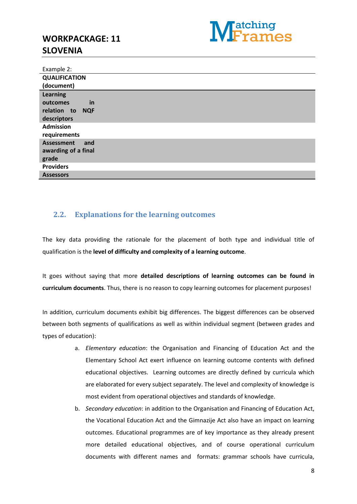

| Example 2:               |
|--------------------------|
| <b>QUALIFICATION</b>     |
| (document)               |
| <b>Learning</b>          |
| in<br>outcomes           |
| relation to NQF          |
| descriptors              |
| <b>Admission</b>         |
| requirements             |
| <b>Assessment</b><br>and |
| awarding of a final      |
| grade                    |
| <b>Providers</b>         |
| <b>Assessors</b>         |

#### <span id="page-7-0"></span>**2.2. Explanations for the learning outcomes**

The key data providing the rationale for the placement of both type and individual title of qualification is the **level of difficulty and complexity of a learning outcome**.

It goes without saying that more **detailed descriptions of learning outcomes can be found in curriculum documents**. Thus, there is no reason to copy learning outcomes for placement purposes!

In addition, curriculum documents exhibit big differences. The biggest differences can be observed between both segments of qualifications as well as within individual segment (between grades and types of education):

- a. *Elementary education*: the Organisation and Financing of Education Act and the Elementary School Act exert influence on learning outcome contents with defined educational objectives. Learning outcomes are directly defined by curricula which are elaborated for every subject separately. The level and complexity of knowledge is most evident from operational objectives and standards of knowledge.
- b. *Secondary education*: in addition to the Organisation and Financing of Education Act, the Vocational Education Act and the Gimnazije Act also have an impact on learning outcomes. Educational programmes are of key importance as they already present more detailed educational objectives, and of course operational curriculum documents with different names and formats: grammar schools have curricula,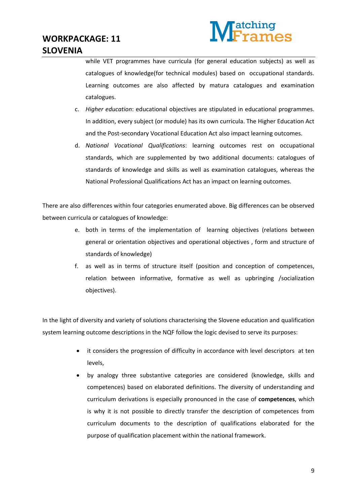

while VET programmes have curricula (for general education subjects) as well as catalogues of knowledge(for technical modules) based on occupational standards. Learning outcomes are also affected by matura catalogues and examination catalogues.

- c. *Higher education*: educational objectives are stipulated in educational programmes. In addition, every subject (or module) has its own curricula. The Higher Education Act and the Post-secondary Vocational Education Act also impact learning outcomes.
- d. *National Vocational Qualifications*: learning outcomes rest on occupational standards, which are supplemented by two additional documents: catalogues of standards of knowledge and skills as well as examination catalogues, whereas the National Professional Qualifications Act has an impact on learning outcomes.

There are also differences within four categories enumerated above. Big differences can be observed between curricula or catalogues of knowledge:

- e. both in terms of the implementation of learning objectives (relations between general or orientation objectives and operational objectives , form and structure of standards of knowledge)
- f. as well as in terms of structure itself (position and conception of competences, relation between informative, formative as well as upbringing /socialization objectives).

In the light of diversity and variety of solutions characterising the Slovene education and qualification system learning outcome descriptions in the NQF follow the logic devised to serve its purposes:

- it considers the progression of difficulty in accordance with level descriptors at ten levels,
- by analogy three substantive categories are considered (knowledge, skills and competences) based on elaborated definitions. The diversity of understanding and curriculum derivations is especially pronounced in the case of **competences**, which is why it is not possible to directly transfer the description of competences from curriculum documents to the description of qualifications elaborated for the purpose of qualification placement within the national framework.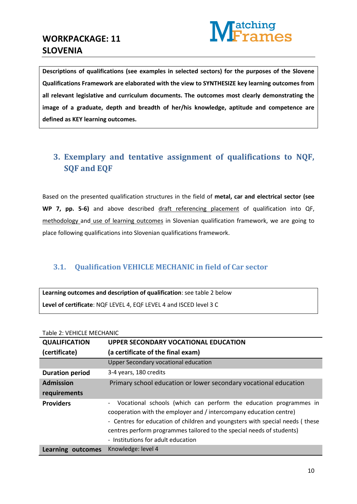

**Descriptions of qualifications (see examples in selected sectors) for the purposes of the Slovene Qualifications Framework are elaborated with the view to SYNTHESIZE key learning outcomes from all relevant legislative and curriculum documents. The outcomes most clearly demonstrating the image of a graduate, depth and breadth of her/his knowledge, aptitude and competence are defined as KEY learning outcomes.**

## <span id="page-9-0"></span>**3. Exemplary and tentative assignment of qualifications to NQF, SQF and EQF**

Based on the presented qualification structures in the field of **metal, car and electrical sector (see**  WP 7, pp. 5-6) and above described draft referencing placement of qualification into QF, methodology and use of learning outcomes in Slovenian qualification framework, we are going to place following qualifications into Slovenian qualifications framework.

## <span id="page-9-1"></span>**3.1. Qualification VEHICLE MECHANIC in field of Car sector**

| Learning outcomes and description of qualification: see table 2 below |  |
|-----------------------------------------------------------------------|--|
| Level of certificate: NQF LEVEL 4, EQF LEVEL 4 and ISCED level 3 C    |  |

| <b>QUALIFICATION</b>   | <b>UPPER SECONDARY VOCATIONAL EDUCATION</b>                                                                                                                                                                                                                                                                                            |
|------------------------|----------------------------------------------------------------------------------------------------------------------------------------------------------------------------------------------------------------------------------------------------------------------------------------------------------------------------------------|
| (certificate)          | (a certificate of the final exam)                                                                                                                                                                                                                                                                                                      |
|                        | <b>Upper Secondary vocational education</b>                                                                                                                                                                                                                                                                                            |
| <b>Duration period</b> | 3-4 years, 180 credits                                                                                                                                                                                                                                                                                                                 |
| <b>Admission</b>       | Primary school education or lower secondary vocational education                                                                                                                                                                                                                                                                       |
| requirements           |                                                                                                                                                                                                                                                                                                                                        |
| <b>Providers</b>       | Vocational schools (which can perform the education programmes in<br>cooperation with the employer and / intercompany education centre)<br>- Centres for education of children and youngsters with special needs (these<br>centres perform programmes tailored to the special needs of students)<br>- Institutions for adult education |
| Learning outcomes      | Knowledge: level 4                                                                                                                                                                                                                                                                                                                     |

<span id="page-9-2"></span>Table 2: VEHICLE MECHANIC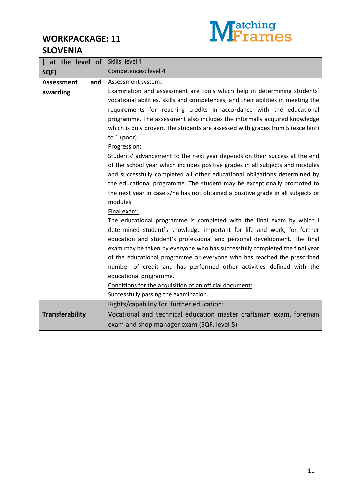

| ( at the level of        | Skills: level 4                                                                                                                                                                                                                                                                                                                                                                                                                                                                                                                                                                              |
|--------------------------|----------------------------------------------------------------------------------------------------------------------------------------------------------------------------------------------------------------------------------------------------------------------------------------------------------------------------------------------------------------------------------------------------------------------------------------------------------------------------------------------------------------------------------------------------------------------------------------------|
| SQF)                     | Competences: level 4                                                                                                                                                                                                                                                                                                                                                                                                                                                                                                                                                                         |
| <b>Assessment</b><br>and | Assessment system:                                                                                                                                                                                                                                                                                                                                                                                                                                                                                                                                                                           |
| awarding                 | Examination and assessment are tools which help in determining students'<br>vocational abilities, skills and competences, and their abilities in meeting the<br>requirements for reaching credits in accordance with the educational<br>programme. The assessment also includes the informally acquired knowledge<br>which is duly proven. The students are assessed with grades from 5 (excellent)<br>to $1$ (poor).<br>Progression:                                                                                                                                                        |
|                          | Students' advancement to the next year depends on their success at the end<br>of the school year which includes positive grades in all subjects and modules<br>and successfully completed all other educational obligations determined by<br>the educational programme. The student may be exceptionally promoted to<br>the next year in case s/he has not obtained a positive grade in all subjects or<br>modules.<br>Final exam:                                                                                                                                                           |
|                          | The educational programme is completed with the final exam by which i<br>determined student's knowledge important for life and work, for further<br>education and student's professional and personal development. The final<br>exam may be taken by everyone who has successfully completed the final year<br>of the educational programme or everyone who has reached the prescribed<br>number of credit and has performed other activities defined with the<br>educational programme.<br>Conditions for the acquisition of an official document:<br>Successfully passing the examination. |
| <b>Transferability</b>   | Rights/capability for further education:<br>Vocational and technical education master craftsman exam, foreman<br>exam and shop manager exam (SQF, level 5)                                                                                                                                                                                                                                                                                                                                                                                                                                   |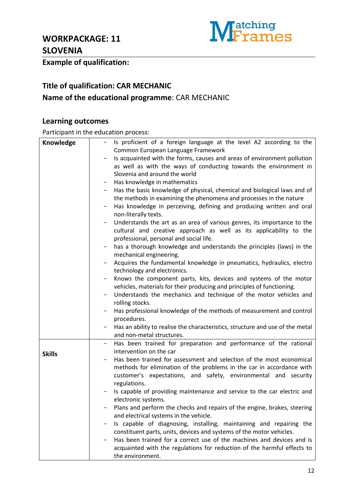

#### **SLOVENIA**

**Example of qualification:** 

## **Title of qualification: CAR MECHANIC**

## **Name of the educational programme**: CAR MECHANIC

#### **Learning outcomes**

Participant in the education process:

| Knowledge     | Is proficient of a foreign language at the level A2 according to the<br>$-$                       |
|---------------|---------------------------------------------------------------------------------------------------|
|               | Common European Language Framework                                                                |
|               | Is acquainted with the forms, causes and areas of environment pollution                           |
|               | as well as with the ways of conducting towards the environment in                                 |
|               | Slovenia and around the world                                                                     |
|               | Has knowledge in mathematics                                                                      |
|               | Has the basic knowledge of physical, chemical and biological laws and of                          |
|               | the methods in examining the phenomena and processes in the nature                                |
|               | Has knowledge in perceiving, defining and producing written and oral<br>$\qquad \qquad -$         |
|               | non-literally texts.                                                                              |
|               | Understands the art as an area of various genres, its importance to the                           |
|               | cultural and creative approach as well as its applicability to the                                |
|               | professional, personal and social life.                                                           |
|               | has a thorough knowledge and understands the principles (laws) in the                             |
|               | mechanical engineering.                                                                           |
|               | Acquires the fundamental knowledge in pneumatics, hydraulics, electro<br>$\overline{\phantom{a}}$ |
|               | technology and electronics.                                                                       |
|               | Knows the component parts, kits, devices and systems of the motor                                 |
|               | vehicles, materials for their producing and principles of functioning.                            |
|               | Understands the mechanics and technique of the motor vehicles and                                 |
|               | rolling stocks.                                                                                   |
|               | Has professional knowledge of the methods of measurement and control                              |
|               | procedures.                                                                                       |
|               | Has an ability to realise the characteristics, structure and use of the metal                     |
|               | and non-metal structures.                                                                         |
|               | Has been trained for preparation and performance of the rational                                  |
| <b>Skills</b> | intervention on the car                                                                           |
|               | Has been trained for assessment and selection of the most economical                              |
|               | methods for elimination of the problems in the car in accordance with                             |
|               | customer's expectations, and safety, environmental and security                                   |
|               | regulations.                                                                                      |
|               | Is capable of providing maintenance and service to the car electric and                           |
|               | electronic systems.                                                                               |
|               | Plans and perform the checks and repairs of the engine, brakes, steering                          |
|               | and electrical systems in the vehicle.                                                            |
|               | Is capable of diagnosing, installing, maintaining and repairing the                               |
|               | constituent parts, units, devices and systems of the motor vehicles.                              |
|               | Has been trained for a correct use of the machines and devices and is                             |
|               | acquainted with the regulations for reduction of the harmful effects to                           |
|               | the environment.                                                                                  |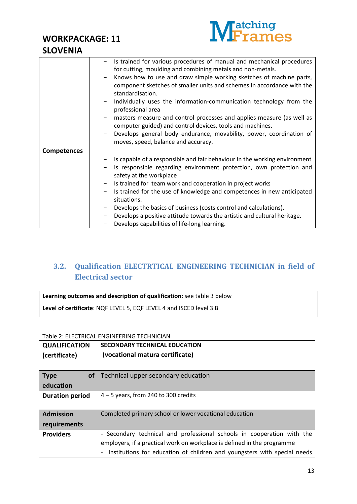**SLOVENIA** 



|                    | Is trained for various procedures of manual and mechanical procedures<br>for cutting, moulding and combining metals and non-metals. |
|--------------------|-------------------------------------------------------------------------------------------------------------------------------------|
|                    |                                                                                                                                     |
|                    | Knows how to use and draw simple working sketches of machine parts,                                                                 |
|                    | component sketches of smaller units and schemes in accordance with the<br>standardisation.                                          |
|                    | Individually uses the information-communication technology from the                                                                 |
|                    | professional area                                                                                                                   |
|                    | masters measure and control processes and applies measure (as well as                                                               |
|                    | computer guided) and control devices, tools and machines.                                                                           |
|                    | Develops general body endurance, movability, power, coordination of                                                                 |
|                    | moves, speed, balance and accuracy.                                                                                                 |
| <b>Competences</b> |                                                                                                                                     |
|                    |                                                                                                                                     |
|                    | Is capable of a responsible and fair behaviour in the working environment                                                           |
|                    | Is responsible regarding environment protection, own protection and                                                                 |
|                    | safety at the workplace                                                                                                             |
|                    | Is trained for team work and cooperation in project works<br>$\overline{\phantom{m}}$                                               |
|                    | Is trained for the use of knowledge and competences in new anticipated                                                              |
|                    | situations.                                                                                                                         |
|                    | Develops the basics of business (costs control and calculations).                                                                   |
|                    | Develops a positive attitude towards the artistic and cultural heritage.                                                            |
|                    | Develops capabilities of life-long learning.                                                                                        |

## <span id="page-12-0"></span>**3.2. Qualification ELECTRTICAL ENGINEERING TECHNICIAN in field of Electrical sector**

**Learning outcomes and description of qualification**: see table 3 below **Level of certificate**: NQF LEVEL 5, EQF LEVEL 4 and ISCED level 3 B

#### <span id="page-12-1"></span>Table 2: ELECTRICAL ENGINEERING TECHNICIAN

| <b>QUALIFICATION</b><br>(certificate) | <b>SECONDARY TECHNICAL EDUCATION</b><br>(vocational matura certificate)                                                                                                                                                         |  |
|---------------------------------------|---------------------------------------------------------------------------------------------------------------------------------------------------------------------------------------------------------------------------------|--|
| <b>Type</b><br>of l<br>education      | Technical upper secondary education                                                                                                                                                                                             |  |
| <b>Duration period</b>                | $4 - 5$ years, from 240 to 300 credits                                                                                                                                                                                          |  |
| <b>Admission</b><br>requirements      | Completed primary school or lower vocational education                                                                                                                                                                          |  |
| <b>Providers</b>                      | - Secondary technical and professional schools in cooperation with the<br>employers, if a practical work on workplace is defined in the programme<br>- Institutions for education of children and youngsters with special needs |  |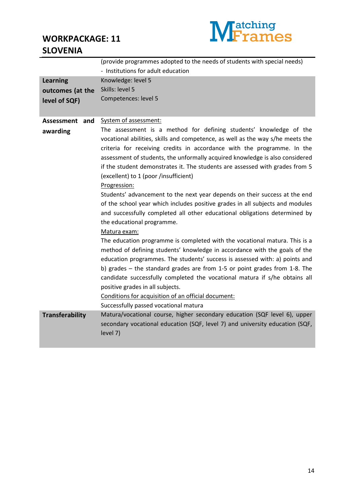

|                        | (provide programmes adopted to the needs of students with special needs)                                                                                                                                                                                                                                                                                                                                                                                                                                                                |
|------------------------|-----------------------------------------------------------------------------------------------------------------------------------------------------------------------------------------------------------------------------------------------------------------------------------------------------------------------------------------------------------------------------------------------------------------------------------------------------------------------------------------------------------------------------------------|
|                        | - Institutions for adult education                                                                                                                                                                                                                                                                                                                                                                                                                                                                                                      |
| <b>Learning</b>        | Knowledge: level 5                                                                                                                                                                                                                                                                                                                                                                                                                                                                                                                      |
| outcomes (at the       | Skills: level 5                                                                                                                                                                                                                                                                                                                                                                                                                                                                                                                         |
| level of SQF)          | Competences: level 5                                                                                                                                                                                                                                                                                                                                                                                                                                                                                                                    |
| Assessment and         | System of assessment:                                                                                                                                                                                                                                                                                                                                                                                                                                                                                                                   |
| awarding               | The assessment is a method for defining students' knowledge of the<br>vocational abilities, skills and competence, as well as the way s/he meets the<br>criteria for receiving credits in accordance with the programme. In the<br>assessment of students, the unformally acquired knowledge is also considered<br>if the student demonstrates it. The students are assessed with grades from 5<br>(excellent) to 1 (poor /insufficient)<br>Progression:                                                                                |
|                        | Students' advancement to the next year depends on their success at the end<br>of the school year which includes positive grades in all subjects and modules<br>and successfully completed all other educational obligations determined by<br>the educational programme.<br>Matura exam:                                                                                                                                                                                                                                                 |
|                        | The education programme is completed with the vocational matura. This is a<br>method of defining students' knowledge in accordance with the goals of the<br>education programmes. The students' success is assessed with: a) points and<br>b) grades - the standard grades are from 1-5 or point grades from 1-8. The<br>candidate successfully completed the vocational matura if s/he obtains all<br>positive grades in all subjects.<br>Conditions for acquisition of an official document:<br>Successfully passed vocational matura |
| <b>Transferability</b> | Matura/vocational course, higher secondary education (SQF level 6), upper                                                                                                                                                                                                                                                                                                                                                                                                                                                               |
|                        | secondary vocational education (SQF, level 7) and university education (SQF,<br>level 7)                                                                                                                                                                                                                                                                                                                                                                                                                                                |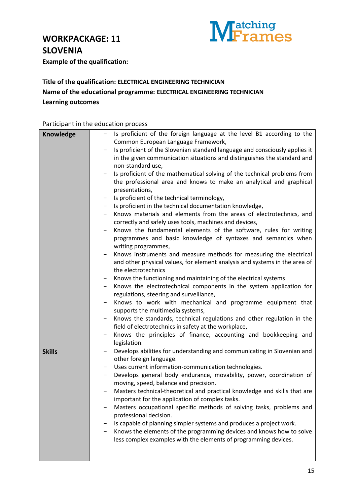

**Example of the qualification:** 

## **Title of the qualification: ELECTRICAL ENGINEERING TECHNICIAN Name of the educational programme: ELECTRICAL ENGINEERING TECHNICIAN Learning outcomes**

#### Participant in the education process

| Knowledge     | Is proficient of the foreign language at the level B1 according to the      |
|---------------|-----------------------------------------------------------------------------|
|               | Common European Language Framework,                                         |
|               | Is proficient of the Slovenian standard language and consciously applies it |
|               | in the given communication situations and distinguishes the standard and    |
|               | non-standard use,                                                           |
|               | Is proficient of the mathematical solving of the technical problems from    |
|               | the professional area and knows to make an analytical and graphical         |
|               | presentations,                                                              |
|               | Is proficient of the technical terminology,<br>$\qquad \qquad -$            |
|               | Is proficient in the technical documentation knowledge,                     |
|               | Knows materials and elements from the areas of electrotechnics, and         |
|               | correctly and safely uses tools, machines and devices,                      |
|               | Knows the fundamental elements of the software, rules for writing           |
|               | programmes and basic knowledge of syntaxes and semantics when               |
|               | writing programmes,                                                         |
|               | Knows instruments and measure methods for measuring the electrical          |
|               | and other physical values, for element analysis and systems in the area of  |
|               | the electrotechnics                                                         |
|               | - Knows the functioning and maintaining of the electrical systems           |
|               | Knows the electrotechnical components in the system application for         |
|               | regulations, steering and surveillance,                                     |
|               | Knows to work with mechanical and programme equipment that                  |
|               | supports the multimedia systems,                                            |
|               | Knows the standards, technical regulations and other regulation in the      |
|               | field of electrotechnics in safety at the workplace,                        |
|               | Knows the principles of finance, accounting and bookkeeping and             |
|               | legislation.                                                                |
| <b>Skills</b> | Develops abilities for understanding and communicating in Slovenian and     |
|               | other foreign language.                                                     |
|               | Uses current information-communication technologies.<br>$\qquad \qquad -$   |
|               | Develops general body endurance, movability, power, coordination of         |
|               | moving, speed, balance and precision.                                       |
|               | Masters technical-theoretical and practical knowledge and skills that are   |
|               | important for the application of complex tasks.                             |
|               | Masters occupational specific methods of solving tasks, problems and        |
|               | professional decision.                                                      |
|               | Is capable of planning simpler systems and produces a project work.         |
|               | Knows the elements of the programming devices and knows how to solve        |
|               | less complex examples with the elements of programming devices.             |
|               |                                                                             |
|               |                                                                             |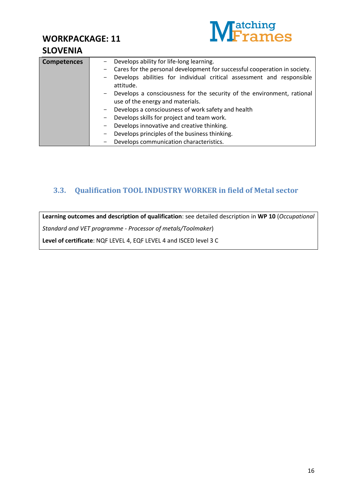**SLOVENIA** 



| <b>Competences</b> | Develops ability for life-long learning.<br>$-$                                                   |
|--------------------|---------------------------------------------------------------------------------------------------|
|                    | Cares for the personal development for successful cooperation in society.<br>-                    |
|                    | Develops abilities for individual critical assessment and responsible<br>$\overline{\phantom{0}}$ |
|                    | attitude.                                                                                         |
|                    | Develops a consciousness for the security of the environment, rational<br>$-$                     |
|                    | use of the energy and materials.                                                                  |
|                    | Develops a consciousness of work safety and health<br>$\qquad \qquad -$                           |
|                    | Develops skills for project and team work.<br>$\overline{\phantom{m}}$                            |
|                    | Develops innovative and creative thinking.<br>-                                                   |
|                    | Develops principles of the business thinking.<br>-                                                |
|                    | Develops communication characteristics.                                                           |

#### <span id="page-15-0"></span>**3.3. Qualification TOOL INDUSTRY WORKER in field of Metal sector**

**Learning outcomes and description of qualification**: see detailed description in **WP 10** (*Occupational* 

*Standard and VET programme - Processor of metals/Toolmaker*)

**Level of certificate**: NQF LEVEL 4, EQF LEVEL 4 and ISCED level 3 C